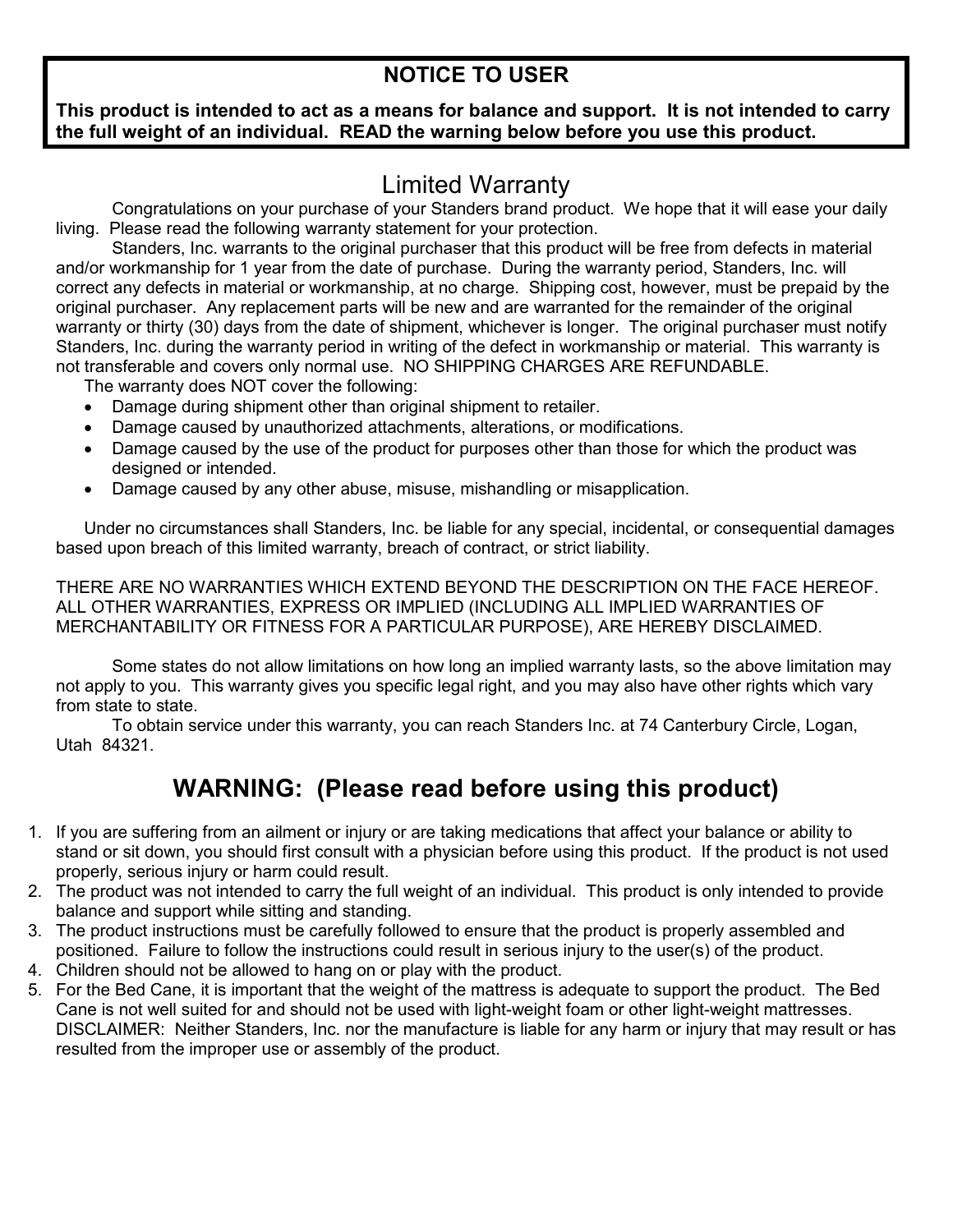#### **NOTICE TO USER**

#### **This product is intended to act as a means for balance and support. It is not intended to carry the full weight of an individual. READ the warning below before you use this product.**

### Limited Warranty

Congratulations on your purchase of your Standers brand product. We hope that it will ease your daily living. Please read the following warranty statement for your protection.

Standers, Inc. warrants to the original purchaser that this product will be free from defects in material and/or workmanship for 1 year from the date of purchase. During the warranty period, Standers, Inc. will correct any defects in material or workmanship, at no charge. Shipping cost, however, must be prepaid by the original purchaser. Any replacement parts will be new and are warranted for the remainder of the original warranty or thirty (30) days from the date of shipment, whichever is longer. The original purchaser must notify Standers, Inc. during the warranty period in writing of the defect in workmanship or material. This warranty is not transferable and covers only normal use. NO SHIPPING CHARGES ARE REFUNDABLE.

The warranty does NOT cover the following:

- Damage during shipment other than original shipment to retailer.
- Damage caused by unauthorized attachments, alterations, or modifications.
- Damage caused by the use of the product for purposes other than those for which the product was designed or intended.
- Damage caused by any other abuse, misuse, mishandling or misapplication.

Under no circumstances shall Standers, Inc. be liable for any special, incidental, or consequential damages based upon breach of this limited warranty, breach of contract, or strict liability.

THERE ARE NO WARRANTIES WHICH EXTEND BEYOND THE DESCRIPTION ON THE FACE HEREOF. ALL OTHER WARRANTIES, EXPRESS OR IMPLIED (INCLUDING ALL IMPLIED WARRANTIES OF MERCHANTABILITY OR FITNESS FOR A PARTICULAR PURPOSE), ARE HEREBY DISCLAIMED.

Some states do not allow limitations on how long an implied warranty lasts, so the above limitation may not apply to you. This warranty gives you specific legal right, and you may also have other rights which vary from state to state.

To obtain service under this warranty, you can reach Standers Inc. at 74 Canterbury Circle, Logan, Utah 84321.

# **WARNING: (Please read before using this product)**

- 1. If you are suffering from an ailment or injury or are taking medications that affect your balance or ability to stand or sit down, you should first consult with a physician before using this product. If the product is not used properly, serious injury or harm could result.
- 2. The product was not intended to carry the full weight of an individual. This product is only intended to provide balance and support while sitting and standing.
- 3. The product instructions must be carefully followed to ensure that the product is properly assembled and positioned. Failure to follow the instructions could result in serious injury to the user(s) of the product.
- 4. Children should not be allowed to hang on or play with the product.
- 5. For the Bed Cane, it is important that the weight of the mattress is adequate to support the product. The Bed Cane is not well suited for and should not be used with light-weight foam or other light-weight mattresses. DISCLAIMER: Neither Standers, Inc. nor the manufacture is liable for any harm or injury that may result or has resulted from the improper use or assembly of the product.